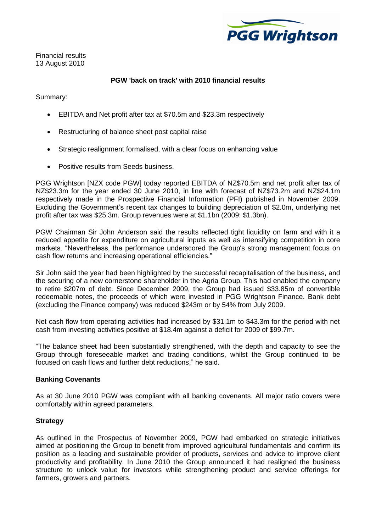

Financial results 13 August 2010

## **PGW 'back on track' with 2010 financial results**

Summary:

- EBITDA and Net profit after tax at \$70.5m and \$23.3m respectively
- $\bullet$ Restructuring of balance sheet post capital raise
- Strategic realignment formalised, with a clear focus on enhancing value  $\bullet$
- Positive results from Seeds business.

PGG Wrightson [NZX code PGW] today reported EBITDA of NZ\$70.5m and net profit after tax of NZ\$23.3m for the year ended 30 June 2010, in line with forecast of NZ\$73.2m and NZ\$24.1m respectively made in the Prospective Financial Information (PFI) published in November 2009. Excluding the Government"s recent tax changes to building depreciation of \$2.0m, underlying net profit after tax was \$25.3m. Group revenues were at \$1.1bn (2009: \$1.3bn).

PGW Chairman Sir John Anderson said the results reflected tight liquidity on farm and with it a reduced appetite for expenditure on agricultural inputs as well as intensifying competition in core markets. "Nevertheless, the performance underscored the Group's strong management focus on cash flow returns and increasing operational efficiencies."

Sir John said the year had been highlighted by the successful recapitalisation of the business, and the securing of a new cornerstone shareholder in the Agria Group. This had enabled the company to retire \$207m of debt. Since December 2009, the Group had issued \$33.85m of convertible redeemable notes, the proceeds of which were invested in PGG Wrightson Finance. Bank debt (excluding the Finance company) was reduced \$243m or by 54% from July 2009.

Net cash flow from operating activities had increased by \$31.1m to \$43.3m for the period with net cash from investing activities positive at \$18.4m against a deficit for 2009 of \$99.7m.

"The balance sheet had been substantially strengthened, with the depth and capacity to see the Group through foreseeable market and trading conditions, whilst the Group continued to be focused on cash flows and further debt reductions," he said.

## **Banking Covenants**

As at 30 June 2010 PGW was compliant with all banking covenants. All major ratio covers were comfortably within agreed parameters.

#### **Strategy**

As outlined in the Prospectus of November 2009, PGW had embarked on strategic initiatives aimed at positioning the Group to benefit from improved agricultural fundamentals and confirm its position as a leading and sustainable provider of products, services and advice to improve client productivity and profitability. In June 2010 the Group announced it had realigned the business structure to unlock value for investors while strengthening product and service offerings for farmers, growers and partners.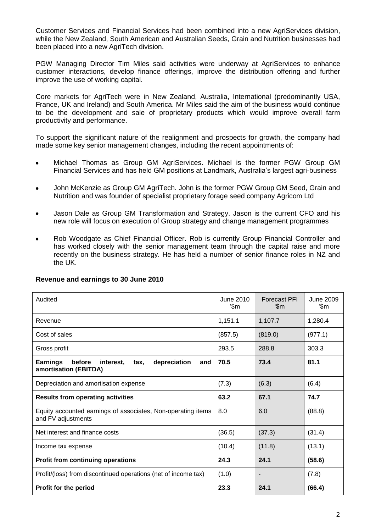Customer Services and Financial Services had been combined into a new AgriServices division, while the New Zealand, South American and Australian Seeds, Grain and Nutrition businesses had been placed into a new AgriTech division.

PGW Managing Director Tim Miles said activities were underway at AgriServices to enhance customer interactions, develop finance offerings, improve the distribution offering and further improve the use of working capital.

Core markets for AgriTech were in New Zealand, Australia, International (predominantly USA, France, UK and Ireland) and South America. Mr Miles said the aim of the business would continue to be the development and sale of proprietary products which would improve overall farm productivity and performance.

To support the significant nature of the realignment and prospects for growth, the company had made some key senior management changes, including the recent appointments of:

- Michael Thomas as Group GM AgriServices. Michael is the former PGW Group GM  $\bullet$ Financial Services and has held GM positions at Landmark, Australia"s largest agri-business
- John McKenzie as Group GM AgriTech. John is the former PGW Group GM Seed, Grain and  $\bullet$ Nutrition and was founder of specialist proprietary forage seed company Agricom Ltd
- Jason Dale as Group GM Transformation and Strategy. Jason is the current CFO and his new role will focus on execution of Group strategy and change management programmes
- Rob Woodgate as Chief Financial Officer. Rob is currently Group Financial Controller and  $\bullet$ has worked closely with the senior management team through the capital raise and more recently on the business strategy. He has held a number of senior finance roles in NZ and the UK.

| Audited                                                                                        | June 2010<br>ʻ\$m | <b>Forecast PFI</b><br>ʻ\$m | June 2009<br>'\$m |
|------------------------------------------------------------------------------------------------|-------------------|-----------------------------|-------------------|
| Revenue                                                                                        | 1,151.1           | 1,107.7                     | 1,280.4           |
| Cost of sales                                                                                  | (857.5)           | (819.0)                     | (977.1)           |
| Gross profit                                                                                   | 293.5             | 288.8                       | 303.3             |
| <b>Earnings</b><br>before<br>depreciation<br>interest.<br>tax,<br>and<br>amortisation (EBITDA) | 70.5              | 73.4                        | 81.1              |
| Depreciation and amortisation expense                                                          | (7.3)             | (6.3)                       | (6.4)             |
| <b>Results from operating activities</b>                                                       | 63.2              | 67.1                        | 74.7              |
| Equity accounted earnings of associates, Non-operating items<br>and FV adjustments             | 8.0               | 6.0                         | (88.8)            |
| Net interest and finance costs                                                                 | (36.5)            | (37.3)                      | (31.4)            |
| Income tax expense                                                                             | (10.4)            | (11.8)                      | (13.1)            |
| <b>Profit from continuing operations</b>                                                       | 24.3              | 24.1                        | (58.6)            |
| Profit/(loss) from discontinued operations (net of income tax)                                 | (1.0)             | -                           | (7.8)             |
| Profit for the period                                                                          | 23.3              | 24.1                        | (66.4)            |

## **Revenue and earnings to 30 June 2010**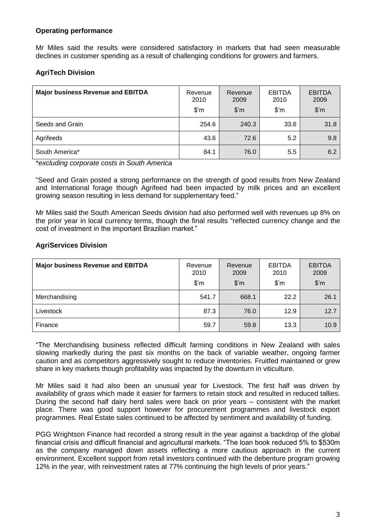## **Operating performance**

Mr Miles said the results were considered satisfactory in markets that had seen measurable declines in customer spending as a result of challenging conditions for growers and farmers.

# **AgriTech Division**

| <b>Major business Revenue and EBITDA</b> | Revenue<br>2010<br>$\mathsf{S}'$ m | Revenue<br>2009<br>$\mathsf{S}'$ m | <b>EBITDA</b><br>2010<br>$\mathsf{S}'\mathsf{m}$ | <b>EBITDA</b><br>2009<br>$\mathfrak{F}'$ m |
|------------------------------------------|------------------------------------|------------------------------------|--------------------------------------------------|--------------------------------------------|
| Seeds and Grain                          | 254.6                              | 240.3                              | 33.6                                             | 31.8                                       |
| Agrifeeds                                | 43.6                               | 72.6                               | 5.2                                              | 9.8                                        |
| South America*                           | 84.1                               | 76.0                               | 5.5                                              | 6.2                                        |

\**excluding corporate costs in South America*

"Seed and Grain posted a strong performance on the strength of good results from New Zealand and International forage though Agrifeed had been impacted by milk prices and an excellent growing season resulting in less demand for supplementary feed."

Mr Miles said the South American Seeds division had also performed well with revenues up 8% on the prior year in local currency terms, though the final results "reflected currency change and the cost of investment in the important Brazilian market."

## **AgriServices Division**

| <b>Major business Revenue and EBITDA</b> | Revenue<br>2010<br>$\mathfrak{F}'$ m | Revenue<br>2009<br>$\mathsf{S}'$ m | <b>EBITDA</b><br>2010<br>$\mathsf{S}'\mathsf{m}$ | <b>EBITDA</b><br>2009<br>$\mathfrak{F}'$ m |
|------------------------------------------|--------------------------------------|------------------------------------|--------------------------------------------------|--------------------------------------------|
| Merchandising                            | 541.7                                | 668.1                              | 22.2                                             | 26.1                                       |
| Livestock                                | 87.3                                 | 76.0                               | 12.9                                             | 12.7                                       |
| Finance                                  | 59.7                                 | 59.8                               | 13.3                                             | 10.9                                       |

"The Merchandising business reflected difficult farming conditions in New Zealand with sales slowing markedly during the past six months on the back of variable weather, ongoing farmer caution and as competitors aggressively sought to reduce inventories. Fruitfed maintained or grew share in key markets though profitability was impacted by the downturn in viticulture.

Mr Miles said it had also been an unusual year for Livestock. The first half was driven by availability of grass which made it easier for farmers to retain stock and resulted in reduced tallies. During the second half dairy herd sales were back on prior years – consistent with the market place. There was good support however for procurement programmes and livestock export programmes. Real Estate sales continued to be affected by sentiment and availability of funding.

PGG Wrightson Finance had recorded a strong result in the year against a backdrop of the global financial crisis and difficult financial and agricultural markets. "The loan book reduced 5% to \$530m as the company managed down assets reflecting a more cautious approach in the current environment. Excellent support from retail investors continued with the debenture program growing 12% in the year, with reinvestment rates at 77% continuing the high levels of prior years."